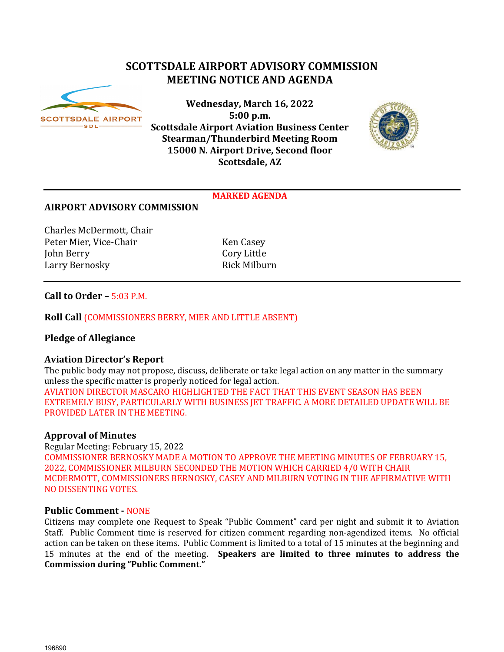# **SCOTTSDALE AIRPORT ADVISORY COMMISSION MEETING NOTICE AND AGENDA**



**Wednesday, March 16, 2022 5:00 p.m. Scottsdale Airport Aviation Business Center Stearman/Thunderbird Meeting Room 15000 N. Airport Drive, Second floor Scottsdale, AZ**



#### **MARKED AGENDA**

## **AIRPORT ADVISORY COMMISSION**

Charles McDermott, Chair Peter Mier, Vice-Chair Ken Casey<br>
John Berry Cory Little John Berry Cory Little Larry Bernosky

## **Call to Order –** 5:03 P.M.

## **Roll Call** (COMMISSIONERS BERRY, MIER AND LITTLE ABSENT)

## **Pledge of Allegiance**

## **Aviation Director's Report**

The public body may not propose, discuss, deliberate or take legal action on any matter in the summary unless the specific matter is properly noticed for legal action. AVIATION DIRECTOR MASCARO HIGHLIGHTED THE FACT THAT THIS EVENT SEASON HAS BEEN EXTREMELY BUSY, PARTICULARLY WITH BUSINESS JET TRAFFIC. A MORE DETAILED UPDATE WILL BE PROVIDED LATER IN THE MEETING.

## **Approval of Minutes**

Regular Meeting: February 15, 2022 COMMISSIONER BERNOSKY MADE A MOTION TO APPROVE THE MEETING MINUTES OF FEBRUARY 15, 2022, COMMISSIONER MILBURN SECONDED THE MOTION WHICH CARRIED 4/0 WITH CHAIR MCDERMOTT, COMMISSIONERS BERNOSKY, CASEY AND MILBURN VOTING IN THE AFFIRMATIVE WITH NO DISSENTING VOTES.

## **Public Comment -** NONE

Citizens may complete one Request to Speak "Public Comment" card per night and submit it to Aviation Staff. Public Comment time is reserved for citizen comment regarding non-agendized items. No official action can be taken on these items. Public Comment is limited to a total of 15 minutes at the beginning and 15 minutes at the end of the meeting. **Speakers are limited to three minutes to address the Commission during "Public Comment."**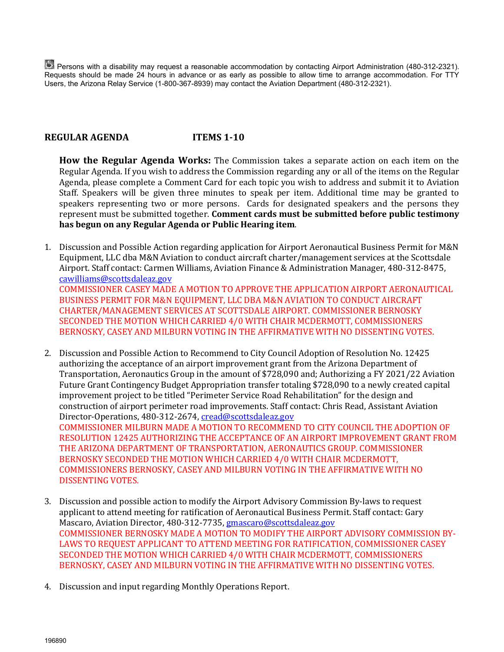Persons with a disability may request a reasonable accommodation by contacting Airport Administration (480-312-2321). Requests should be made 24 hours in advance or as early as possible to allow time to arrange accommodation. For TTY Users, the Arizona Relay Service (1-800-367-8939) may contact the Aviation Department (480-312-2321).

# **REGULAR AGENDA ITEMS 1-10**

**How the Regular Agenda Works:** The Commission takes a separate action on each item on the Regular Agenda. If you wish to address the Commission regarding any or all of the items on the Regular Agenda, please complete a Comment Card for each topic you wish to address and submit it to Aviation Staff. Speakers will be given three minutes to speak per item. Additional time may be granted to speakers representing two or more persons. Cards for designated speakers and the persons they represent must be submitted together. **Comment cards must be submitted before public testimony has begun on any Regular Agenda or Public Hearing item**.

- 1. Discussion and Possible Action regarding application for Airport Aeronautical Business Permit for M&N Equipment, LLC dba M&N Aviation to conduct aircraft charter/management services at the Scottsdale Airport. Staff contact: Carmen Williams, Aviation Finance & Administration Manager, 480-312-8475, [cawilliams@scottsdaleaz.gov](mailto:cawilliams@scottsdaleaz.gov) COMMISSIONER CASEY MADE A MOTION TO APPROVE THE APPLICATION AIRPORT AERONAUTICAL BUSINESS PERMIT FOR M&N EQUIPMENT, LLC DBA M&N AVIATION TO CONDUCT AIRCRAFT CHARTER/MANAGEMENT SERVICES AT SCOTTSDALE AIRPORT. COMMISSIONER BERNOSKY SECONDED THE MOTION WHICH CARRIED 4/0 WITH CHAIR MCDERMOTT, COMMISSIONERS BERNOSKY, CASEY AND MILBURN VOTING IN THE AFFIRMATIVE WITH NO DISSENTING VOTES.
- 2. Discussion and Possible Action to Recommend to City Council Adoption of Resolution No. 12425 authorizing the acceptance of an airport improvement grant from the Arizona Department of Transportation, Aeronautics Group in the amount of \$728,090 and; Authorizing a FY 2021/22 Aviation Future Grant Contingency Budget Appropriation transfer totaling \$728,090 to a newly created capital improvement project to be titled "Perimeter Service Road Rehabilitation" for the design and construction of airport perimeter road improvements. Staff contact: Chris Read, Assistant Aviation Director-Operations, 480-312-2674[, cread@scottsdaleaz.gov](mailto:cread@scottsdaleaz.gov)  COMMISSIONER MILBURN MADE A MOTION TO RECOMMEND TO CITY COUNCIL THE ADOPTION OF

RESOLUTION 12425 AUTHORIZING THE ACCEPTANCE OF AN AIRPORT IMPROVEMENT GRANT FROM THE ARIZONA DEPARTMENT OF TRANSPORTATION, AERONAUTICS GROUP. COMMISSIONER BERNOSKY SECONDED THE MOTION WHICH CARRIED 4/0 WITH CHAIR MCDERMOTT, COMMISSIONERS BERNOSKY, CASEY AND MILBURN VOTING IN THE AFFIRMATIVE WITH NO DISSENTING VOTES.

- 3. Discussion and possible action to modify the Airport Advisory Commission By-laws to request applicant to attend meeting for ratification of Aeronautical Business Permit. Staff contact: Gary Mascaro, Aviation Director, 480-312-7735, gmascaro@scottsdaleaz.gov COMMISSIONER BERNOSKY MADE A MOTION TO MODIFY THE AIRPORT ADVISORY COMMISSION BY-LAWS TO REQUEST APPLICANT TO ATTEND MEETING FOR RATIFICATION, COMMISSIONER CASEY SECONDED THE MOTION WHICH CARRIED 4/0 WITH CHAIR MCDERMOTT, COMMISSIONERS BERNOSKY, CASEY AND MILBURN VOTING IN THE AFFIRMATIVE WITH NO DISSENTING VOTES.
- 4. Discussion and input regarding Monthly Operations Report.